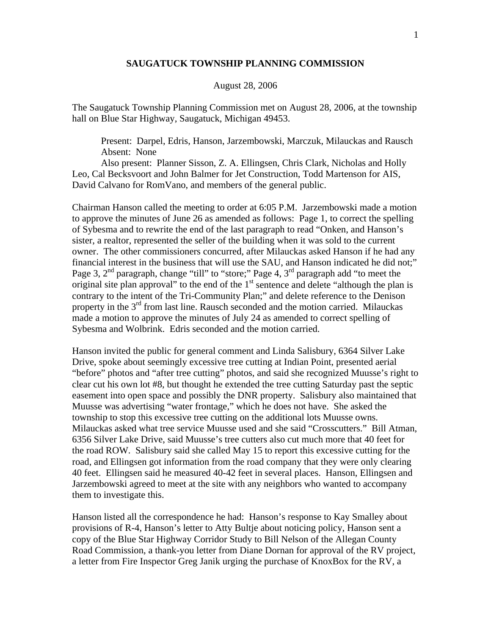## **SAUGATUCK TOWNSHIP PLANNING COMMISSION**

## August 28, 2006

The Saugatuck Township Planning Commission met on August 28, 2006, at the township hall on Blue Star Highway, Saugatuck, Michigan 49453.

 Present: Darpel, Edris, Hanson, Jarzembowski, Marczuk, Milauckas and Rausch Absent: None

 Also present: Planner Sisson, Z. A. Ellingsen, Chris Clark, Nicholas and Holly Leo, Cal Becksvoort and John Balmer for Jet Construction, Todd Martenson for AIS, David Calvano for RomVano, and members of the general public.

Chairman Hanson called the meeting to order at 6:05 P.M. Jarzembowski made a motion to approve the minutes of June 26 as amended as follows: Page 1, to correct the spelling of Sybesma and to rewrite the end of the last paragraph to read "Onken, and Hanson's sister, a realtor, represented the seller of the building when it was sold to the current owner. The other commissioners concurred, after Milauckas asked Hanson if he had any financial interest in the business that will use the SAU, and Hanson indicated he did not;" Page 3,  $2<sup>nd</sup>$  paragraph, change "till" to "store;" Page 4,  $3<sup>rd</sup>$  paragraph add "to meet the original site plan approval" to the end of the  $1<sup>st</sup>$  sentence and delete "although the plan is contrary to the intent of the Tri-Community Plan;" and delete reference to the Denison property in the  $3<sup>rd</sup>$  from last line. Rausch seconded and the motion carried. Milauckas made a motion to approve the minutes of July 24 as amended to correct spelling of Sybesma and Wolbrink. Edris seconded and the motion carried.

Hanson invited the public for general comment and Linda Salisbury, 6364 Silver Lake Drive, spoke about seemingly excessive tree cutting at Indian Point, presented aerial "before" photos and "after tree cutting" photos, and said she recognized Muusse's right to clear cut his own lot #8, but thought he extended the tree cutting Saturday past the septic easement into open space and possibly the DNR property. Salisbury also maintained that Muusse was advertising "water frontage," which he does not have. She asked the township to stop this excessive tree cutting on the additional lots Muusse owns. Milauckas asked what tree service Muusse used and she said "Crosscutters." Bill Atman, 6356 Silver Lake Drive, said Muusse's tree cutters also cut much more that 40 feet for the road ROW. Salisbury said she called May 15 to report this excessive cutting for the road, and Ellingsen got information from the road company that they were only clearing 40 feet. Ellingsen said he measured 40-42 feet in several places. Hanson, Ellingsen and Jarzembowski agreed to meet at the site with any neighbors who wanted to accompany them to investigate this.

Hanson listed all the correspondence he had: Hanson's response to Kay Smalley about provisions of R-4, Hanson's letter to Atty Bultje about noticing policy, Hanson sent a copy of the Blue Star Highway Corridor Study to Bill Nelson of the Allegan County Road Commission, a thank-you letter from Diane Dornan for approval of the RV project, a letter from Fire Inspector Greg Janik urging the purchase of KnoxBox for the RV, a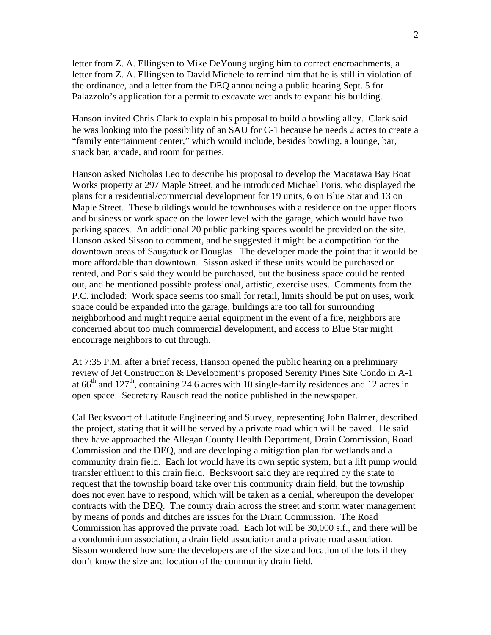letter from Z. A. Ellingsen to Mike DeYoung urging him to correct encroachments, a letter from Z. A. Ellingsen to David Michele to remind him that he is still in violation of the ordinance, and a letter from the DEQ announcing a public hearing Sept. 5 for Palazzolo's application for a permit to excavate wetlands to expand his building.

Hanson invited Chris Clark to explain his proposal to build a bowling alley. Clark said he was looking into the possibility of an SAU for C-1 because he needs 2 acres to create a "family entertainment center," which would include, besides bowling, a lounge, bar, snack bar, arcade, and room for parties.

Hanson asked Nicholas Leo to describe his proposal to develop the Macatawa Bay Boat Works property at 297 Maple Street, and he introduced Michael Poris, who displayed the plans for a residential/commercial development for 19 units, 6 on Blue Star and 13 on Maple Street. These buildings would be townhouses with a residence on the upper floors and business or work space on the lower level with the garage, which would have two parking spaces. An additional 20 public parking spaces would be provided on the site. Hanson asked Sisson to comment, and he suggested it might be a competition for the downtown areas of Saugatuck or Douglas. The developer made the point that it would be more affordable than downtown. Sisson asked if these units would be purchased or rented, and Poris said they would be purchased, but the business space could be rented out, and he mentioned possible professional, artistic, exercise uses. Comments from the P.C. included: Work space seems too small for retail, limits should be put on uses, work space could be expanded into the garage, buildings are too tall for surrounding neighborhood and might require aerial equipment in the event of a fire, neighbors are concerned about too much commercial development, and access to Blue Star might encourage neighbors to cut through.

At 7:35 P.M. after a brief recess, Hanson opened the public hearing on a preliminary review of Jet Construction & Development's proposed Serenity Pines Site Condo in A-1 at  $66<sup>th</sup>$  and  $127<sup>th</sup>$ , containing 24.6 acres with 10 single-family residences and 12 acres in open space. Secretary Rausch read the notice published in the newspaper.

Cal Becksvoort of Latitude Engineering and Survey, representing John Balmer, described the project, stating that it will be served by a private road which will be paved. He said they have approached the Allegan County Health Department, Drain Commission, Road Commission and the DEQ, and are developing a mitigation plan for wetlands and a community drain field. Each lot would have its own septic system, but a lift pump would transfer effluent to this drain field. Becksvoort said they are required by the state to request that the township board take over this community drain field, but the township does not even have to respond, which will be taken as a denial, whereupon the developer contracts with the DEQ. The county drain across the street and storm water management by means of ponds and ditches are issues for the Drain Commission. The Road Commission has approved the private road. Each lot will be 30,000 s.f., and there will be a condominium association, a drain field association and a private road association. Sisson wondered how sure the developers are of the size and location of the lots if they don't know the size and location of the community drain field.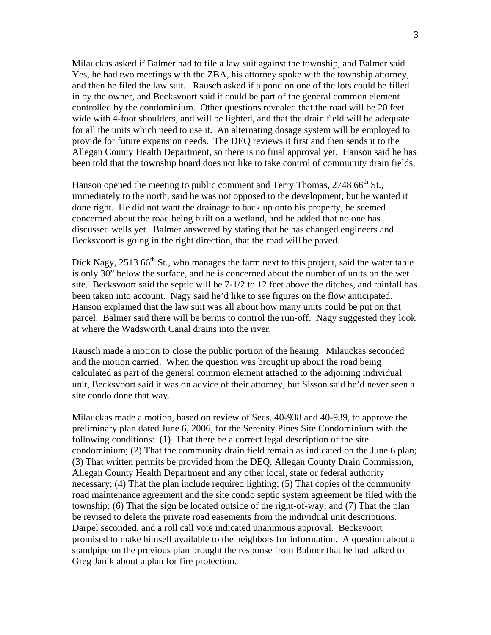Milauckas asked if Balmer had to file a law suit against the township, and Balmer said Yes, he had two meetings with the ZBA, his attorney spoke with the township attorney, and then he filed the law suit. Rausch asked if a pond on one of the lots could be filled in by the owner, and Becksvoort said it could be part of the general common element controlled by the condominium. Other questions revealed that the road will be 20 feet wide with 4-foot shoulders, and will be lighted, and that the drain field will be adequate for all the units which need to use it. An alternating dosage system will be employed to provide for future expansion needs. The DEQ reviews it first and then sends it to the Allegan County Health Department, so there is no final approval yet. Hanson said he has been told that the township board does not like to take control of community drain fields.

Hanson opened the meeting to public comment and Terry Thomas, 2748 66<sup>th</sup> St., immediately to the north, said he was not opposed to the development, but he wanted it done right. He did not want the drainage to back up onto his property, he seemed concerned about the road being built on a wetland, and he added that no one has discussed wells yet. Balmer answered by stating that he has changed engineers and Becksvoort is going in the right direction, that the road will be paved.

Dick Nagy,  $2513\,66^{\text{th}}$  St., who manages the farm next to this project, said the water table is only 30" below the surface, and he is concerned about the number of units on the wet site. Becksvoort said the septic will be 7-1/2 to 12 feet above the ditches, and rainfall has been taken into account. Nagy said he'd like to see figures on the flow anticipated. Hanson explained that the law suit was all about how many units could be put on that parcel. Balmer said there will be berms to control the run-off. Nagy suggested they look at where the Wadsworth Canal drains into the river.

Rausch made a motion to close the public portion of the hearing. Milauckas seconded and the motion carried. When the question was brought up about the road being calculated as part of the general common element attached to the adjoining individual unit, Becksvoort said it was on advice of their attorney, but Sisson said he'd never seen a site condo done that way.

Milauckas made a motion, based on review of Secs. 40-938 and 40-939, to approve the preliminary plan dated June 6, 2006, for the Serenity Pines Site Condominium with the following conditions: (1) That there be a correct legal description of the site condominium; (2) That the community drain field remain as indicated on the June 6 plan; (3) That written permits be provided from the DEQ, Allegan County Drain Commission, Allegan County Health Department and any other local, state or federal authority necessary; (4) That the plan include required lighting; (5) That copies of the community road maintenance agreement and the site condo septic system agreement be filed with the township; (6) That the sign be located outside of the right-of-way; and (7) That the plan be revised to delete the private road easements from the individual unit descriptions. Darpel seconded, and a roll call vote indicated unanimous approval. Becksvoort promised to make himself available to the neighbors for information. A question about a standpipe on the previous plan brought the response from Balmer that he had talked to Greg Janik about a plan for fire protection.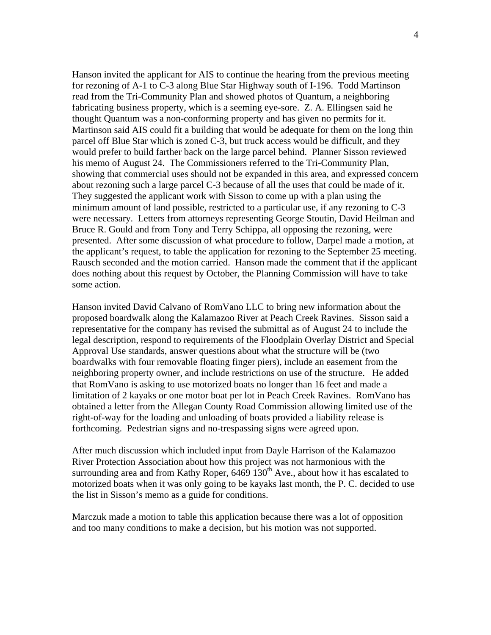Hanson invited the applicant for AIS to continue the hearing from the previous meeting for rezoning of A-1 to C-3 along Blue Star Highway south of I-196. Todd Martinson read from the Tri-Community Plan and showed photos of Quantum, a neighboring fabricating business property, which is a seeming eye-sore. Z. A. Ellingsen said he thought Quantum was a non-conforming property and has given no permits for it. Martinson said AIS could fit a building that would be adequate for them on the long thin parcel off Blue Star which is zoned C-3, but truck access would be difficult, and they would prefer to build farther back on the large parcel behind. Planner Sisson reviewed his memo of August 24. The Commissioners referred to the Tri-Community Plan, showing that commercial uses should not be expanded in this area, and expressed concern about rezoning such a large parcel C-3 because of all the uses that could be made of it. They suggested the applicant work with Sisson to come up with a plan using the minimum amount of land possible, restricted to a particular use, if any rezoning to C-3 were necessary. Letters from attorneys representing George Stoutin, David Heilman and Bruce R. Gould and from Tony and Terry Schippa, all opposing the rezoning, were presented. After some discussion of what procedure to follow, Darpel made a motion, at the applicant's request, to table the application for rezoning to the September 25 meeting. Rausch seconded and the motion carried. Hanson made the comment that if the applicant does nothing about this request by October, the Planning Commission will have to take some action.

Hanson invited David Calvano of RomVano LLC to bring new information about the proposed boardwalk along the Kalamazoo River at Peach Creek Ravines. Sisson said a representative for the company has revised the submittal as of August 24 to include the legal description, respond to requirements of the Floodplain Overlay District and Special Approval Use standards, answer questions about what the structure will be (two boardwalks with four removable floating finger piers), include an easement from the neighboring property owner, and include restrictions on use of the structure. He added that RomVano is asking to use motorized boats no longer than 16 feet and made a limitation of 2 kayaks or one motor boat per lot in Peach Creek Ravines. RomVano has obtained a letter from the Allegan County Road Commission allowing limited use of the right-of-way for the loading and unloading of boats provided a liability release is forthcoming. Pedestrian signs and no-trespassing signs were agreed upon.

After much discussion which included input from Dayle Harrison of the Kalamazoo River Protection Association about how this project was not harmonious with the surrounding area and from Kathy Roper,  $6469\,130^{th}$  Ave., about how it has escalated to motorized boats when it was only going to be kayaks last month, the P. C. decided to use the list in Sisson's memo as a guide for conditions.

Marczuk made a motion to table this application because there was a lot of opposition and too many conditions to make a decision, but his motion was not supported.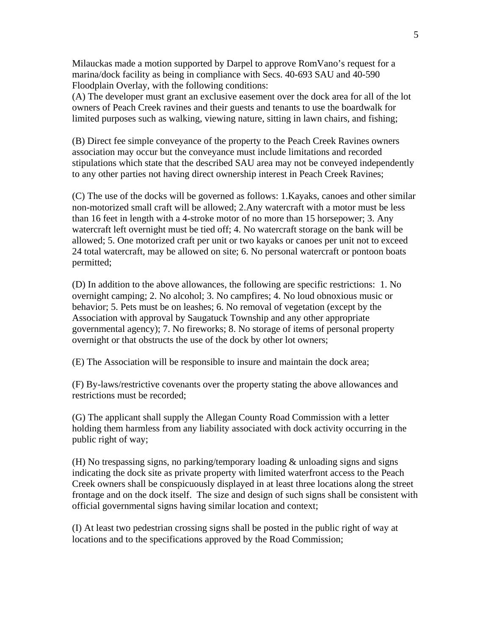Milauckas made a motion supported by Darpel to approve RomVano's request for a marina/dock facility as being in compliance with Secs. 40-693 SAU and 40-590 Floodplain Overlay, with the following conditions:

(A) The developer must grant an exclusive easement over the dock area for all of the lot owners of Peach Creek ravines and their guests and tenants to use the boardwalk for limited purposes such as walking, viewing nature, sitting in lawn chairs, and fishing;

(B) Direct fee simple conveyance of the property to the Peach Creek Ravines owners association may occur but the conveyance must include limitations and recorded stipulations which state that the described SAU area may not be conveyed independently to any other parties not having direct ownership interest in Peach Creek Ravines;

(C) The use of the docks will be governed as follows: 1.Kayaks, canoes and other similar non-motorized small craft will be allowed; 2.Any watercraft with a motor must be less than 16 feet in length with a 4-stroke motor of no more than 15 horsepower; 3. Any watercraft left overnight must be tied off; 4. No watercraft storage on the bank will be allowed; 5. One motorized craft per unit or two kayaks or canoes per unit not to exceed 24 total watercraft, may be allowed on site; 6. No personal watercraft or pontoon boats permitted;

(D) In addition to the above allowances, the following are specific restrictions: 1. No overnight camping; 2. No alcohol; 3. No campfires; 4. No loud obnoxious music or behavior; 5. Pets must be on leashes; 6. No removal of vegetation (except by the Association with approval by Saugatuck Township and any other appropriate governmental agency); 7. No fireworks; 8. No storage of items of personal property overnight or that obstructs the use of the dock by other lot owners;

(E) The Association will be responsible to insure and maintain the dock area;

(F) By-laws/restrictive covenants over the property stating the above allowances and restrictions must be recorded;

(G) The applicant shall supply the Allegan County Road Commission with a letter holding them harmless from any liability associated with dock activity occurring in the public right of way;

(H) No trespassing signs, no parking/temporary loading & unloading signs and signs indicating the dock site as private property with limited waterfront access to the Peach Creek owners shall be conspicuously displayed in at least three locations along the street frontage and on the dock itself. The size and design of such signs shall be consistent with official governmental signs having similar location and context;

(I) At least two pedestrian crossing signs shall be posted in the public right of way at locations and to the specifications approved by the Road Commission;